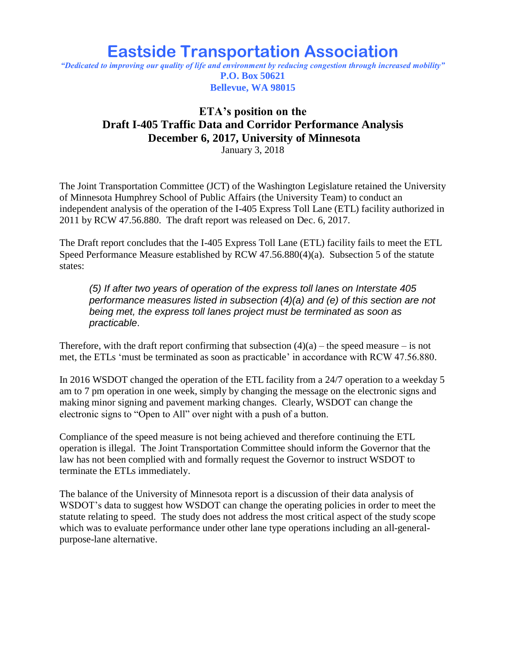## **Eastside Transportation Association**

*"Dedicated to improving our quality of life and environment by reducing congestion through increased mobility"* **P.O. Box 50621 Bellevue, WA 98015**

## **ETA's position on the Draft I-405 Traffic Data and Corridor Performance Analysis December 6, 2017, University of Minnesota**

January 3, 2018

The Joint Transportation Committee (JCT) of the Washington Legislature retained the University of Minnesota Humphrey School of Public Affairs (the University Team) to conduct an independent analysis of the operation of the I-405 Express Toll Lane (ETL) facility authorized in 2011 by RCW 47.56.880. The draft report was released on Dec. 6, 2017.

The Draft report concludes that the I-405 Express Toll Lane (ETL) facility fails to meet the ETL Speed Performance Measure established by RCW 47.56.880(4)(a). Subsection 5 of the statute states:

*(5) If after two years of operation of the express toll lanes on Interstate 405 performance measures listed in subsection (4)(a) and (e) of this section are not being met, the express toll lanes project must be terminated as soon as practicable*.

Therefore, with the draft report confirming that subsection  $(4)(a)$  – the speed measure – is not met, the ETLs 'must be terminated as soon as practicable' in accordance with RCW 47.56.880.

In 2016 WSDOT changed the operation of the ETL facility from a 24/7 operation to a weekday 5 am to 7 pm operation in one week, simply by changing the message on the electronic signs and making minor signing and pavement marking changes. Clearly, WSDOT can change the electronic signs to "Open to All" over night with a push of a button.

Compliance of the speed measure is not being achieved and therefore continuing the ETL operation is illegal. The Joint Transportation Committee should inform the Governor that the law has not been complied with and formally request the Governor to instruct WSDOT to terminate the ETLs immediately.

The balance of the University of Minnesota report is a discussion of their data analysis of WSDOT's data to suggest how WSDOT can change the operating policies in order to meet the statute relating to speed. The study does not address the most critical aspect of the study scope which was to evaluate performance under other lane type operations including an all-generalpurpose-lane alternative.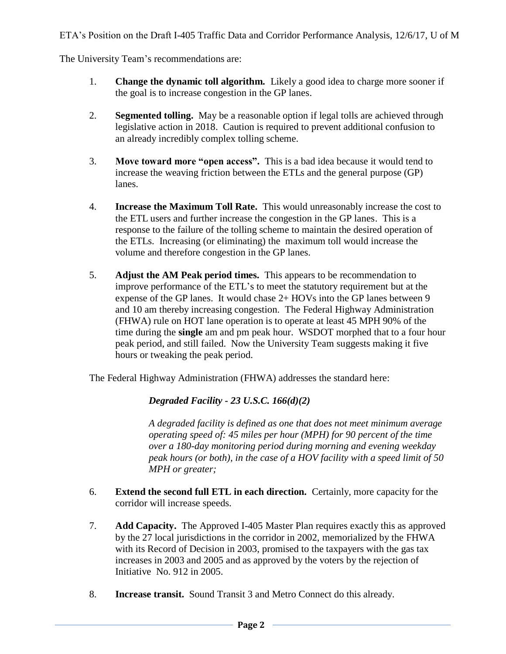The University Team's recommendations are:

- 1. **Change the dynamic toll algorithm.** Likely a good idea to charge more sooner if the goal is to increase congestion in the GP lanes.
- 2. **Segmented tolling.** May be a reasonable option if legal tolls are achieved through legislative action in 2018. Caution is required to prevent additional confusion to an already incredibly complex tolling scheme.
- 3. **Move toward more "open access".** This is a bad idea because it would tend to increase the weaving friction between the ETLs and the general purpose (GP) lanes.
- 4. **Increase the Maximum Toll Rate.** This would unreasonably increase the cost to the ETL users and further increase the congestion in the GP lanes. This is a response to the failure of the tolling scheme to maintain the desired operation of the ETLs. Increasing (or eliminating) the maximum toll would increase the volume and therefore congestion in the GP lanes.
- 5. **Adjust the AM Peak period times.** This appears to be recommendation to improve performance of the ETL's to meet the statutory requirement but at the expense of the GP lanes. It would chase 2+ HOVs into the GP lanes between 9 and 10 am thereby increasing congestion. The Federal Highway Administration (FHWA) rule on HOT lane operation is to operate at least 45 MPH 90% of the time during the **single** am and pm peak hour. WSDOT morphed that to a four hour peak period, and still failed. Now the University Team suggests making it five hours or tweaking the peak period.

The Federal Highway Administration (FHWA) addresses the standard here:

*Degraded Facility - 23 U.S.C. 166(d)(2)*

*A degraded facility is defined as one that does not meet minimum average operating speed of: 45 miles per hour (MPH) for 90 percent of the time over a 180-day monitoring period during morning and evening weekday peak hours (or both), in the case of a HOV facility with a speed limit of 50 MPH or greater;*

- 6. **Extend the second full ETL in each direction.** Certainly, more capacity for the corridor will increase speeds.
- 7. **Add Capacity.** The Approved I-405 Master Plan requires exactly this as approved by the 27 local jurisdictions in the corridor in 2002, memorialized by the FHWA with its Record of Decision in 2003, promised to the taxpayers with the gas tax increases in 2003 and 2005 and as approved by the voters by the rejection of Initiative No. 912 in 2005.
- 8. **Increase transit.** Sound Transit 3 and Metro Connect do this already.